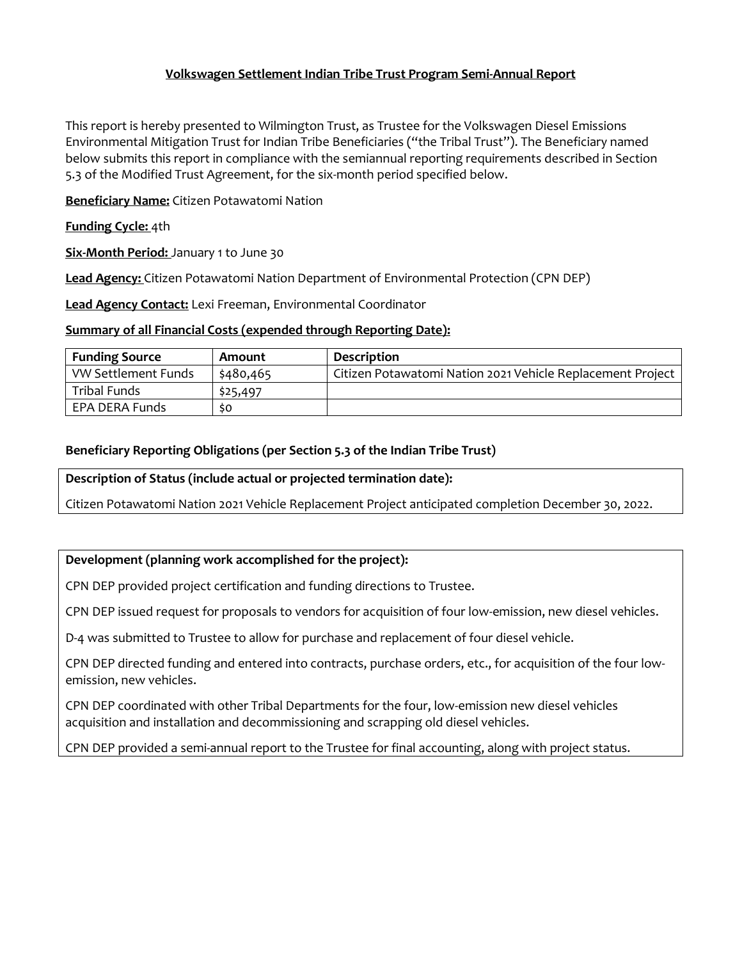# **Volkswagen Settlement Indian Tribe Trust Program Semi-Annual Report**

This report is hereby presented to Wilmington Trust, as Trustee for the Volkswagen Diesel Emissions Environmental Mitigation Trust for Indian Tribe Beneficiaries ("the Tribal Trust"). The Beneficiary named below submits this report in compliance with the semiannual reporting requirements described in Section 5.3 of the Modified Trust Agreement, for the six-month period specified below.

**Beneficiary Name:** Citizen Potawatomi Nation

### **Funding Cycle:** 4th

**Six-Month Period:** January 1 to June 30

**Lead Agency:** Citizen Potawatomi Nation Department of Environmental Protection (CPN DEP)

**Lead Agency Contact:** Lexi Freeman, Environmental Coordinator

#### **Summary of all Financial Costs (expended through Reporting Date):**

| <b>Funding Source</b> | Amount    | <b>Description</b>                                         |
|-----------------------|-----------|------------------------------------------------------------|
| VW Settlement Funds   | \$480,465 | Citizen Potawatomi Nation 2021 Vehicle Replacement Project |
| Tribal Funds          | \$25,497  |                                                            |
| EPA DERA Funds        | so        |                                                            |

# **Beneficiary Reporting Obligations (per Section 5.3 of the Indian Tribe Trust)**

#### **Description of Status (include actual or projected termination date):**

Citizen Potawatomi Nation 2021 Vehicle Replacement Project anticipated completion December 30, 2022.

# **Development (planning work accomplished for the project):**

CPN DEP provided project certification and funding directions to Trustee.

CPN DEP issued request for proposals to vendors for acquisition of four low-emission, new diesel vehicles.

D-4 was submitted to Trustee to allow for purchase and replacement of four diesel vehicle.

CPN DEP directed funding and entered into contracts, purchase orders, etc., for acquisition of the four lowemission, new vehicles.

CPN DEP coordinated with other Tribal Departments for the four, low-emission new diesel vehicles acquisition and installation and decommissioning and scrapping old diesel vehicles.

CPN DEP provided a semi-annual report to the Trustee for final accounting, along with project status.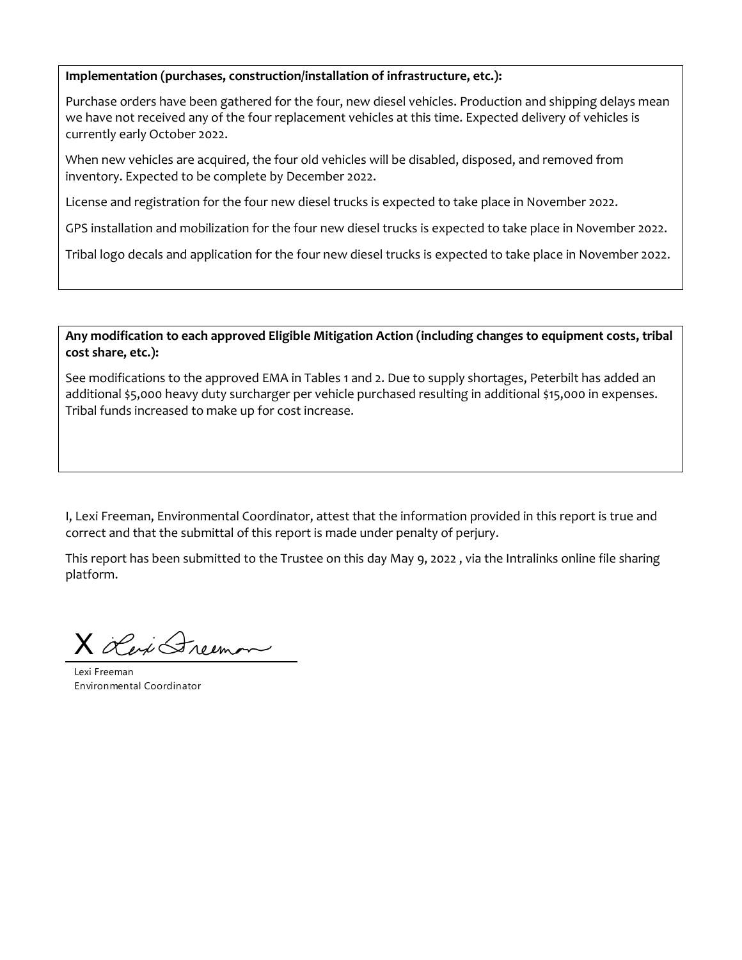#### **Implementation (purchases, construction/installation of infrastructure, etc.):**

Purchase orders have been gathered for the four, new diesel vehicles. Production and shipping delays mean we have not received any of the four replacement vehicles at this time. Expected delivery of vehicles is currently early October 2022.

When new vehicles are acquired, the four old vehicles will be disabled, disposed, and removed from inventory. Expected to be complete by December 2022.

License and registration for the four new diesel trucks is expected to take place in November 2022.

GPS installation and mobilization for the four new diesel trucks is expected to take place in November 2022.

Tribal logo decals and application for the four new diesel trucks is expected to take place in November 2022.

**Any modification to each approved Eligible Mitigation Action (including changes to equipment costs, tribal cost share, etc.):** 

See modifications to the approved EMA in Tables 1 and 2. Due to supply shortages, Peterbilt has added an additional \$5,000 heavy duty surcharger per vehicle purchased resulting in additional \$15,000 in expenses. Tribal funds increased to make up for cost increase.

I, Lexi Freeman, Environmental Coordinator, attest that the information provided in this report is true and correct and that the submittal of this report is made under penalty of perjury.

This report has been submitted to the Trustee on this day May 9, 2022 , via the Intralinks online file sharing platform.

X Lexi Greenon

Lexi Freeman Environmental Coordinator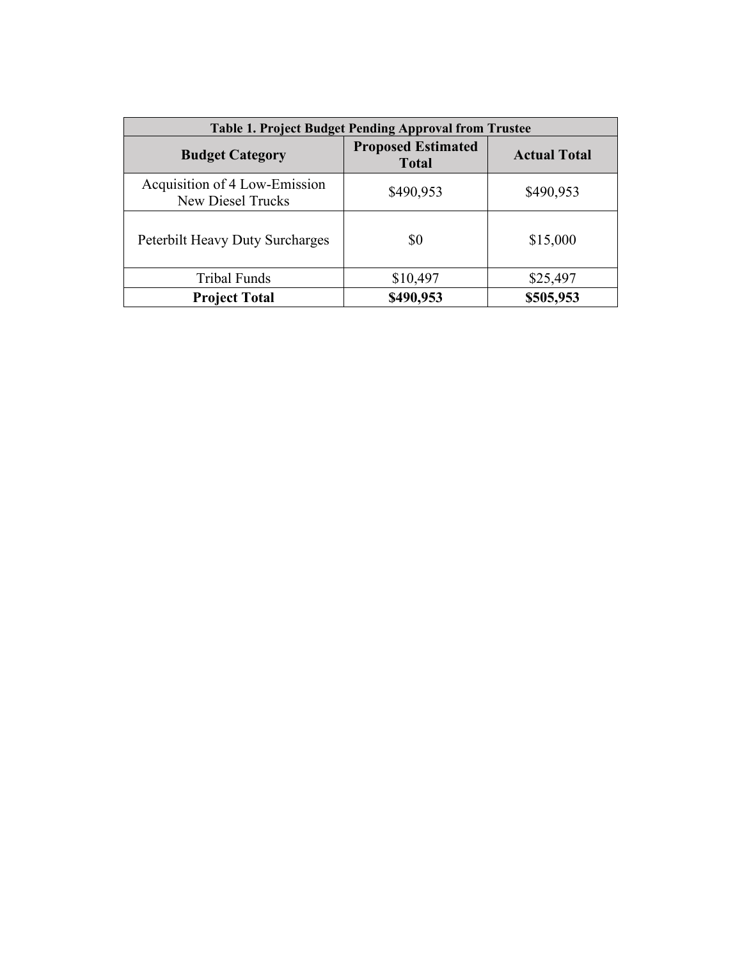| <b>Table 1. Project Budget Pending Approval from Trustee</b> |                                           |                     |  |  |  |
|--------------------------------------------------------------|-------------------------------------------|---------------------|--|--|--|
| <b>Budget Category</b>                                       | <b>Proposed Estimated</b><br><b>Total</b> | <b>Actual Total</b> |  |  |  |
| Acquisition of 4 Low-Emission<br><b>New Diesel Trucks</b>    | \$490,953                                 | \$490,953           |  |  |  |
| Peterbilt Heavy Duty Surcharges                              | \$0                                       | \$15,000            |  |  |  |
| <b>Tribal Funds</b>                                          | \$10,497                                  | \$25,497            |  |  |  |
| <b>Project Total</b>                                         | \$490,953                                 | \$505,953           |  |  |  |